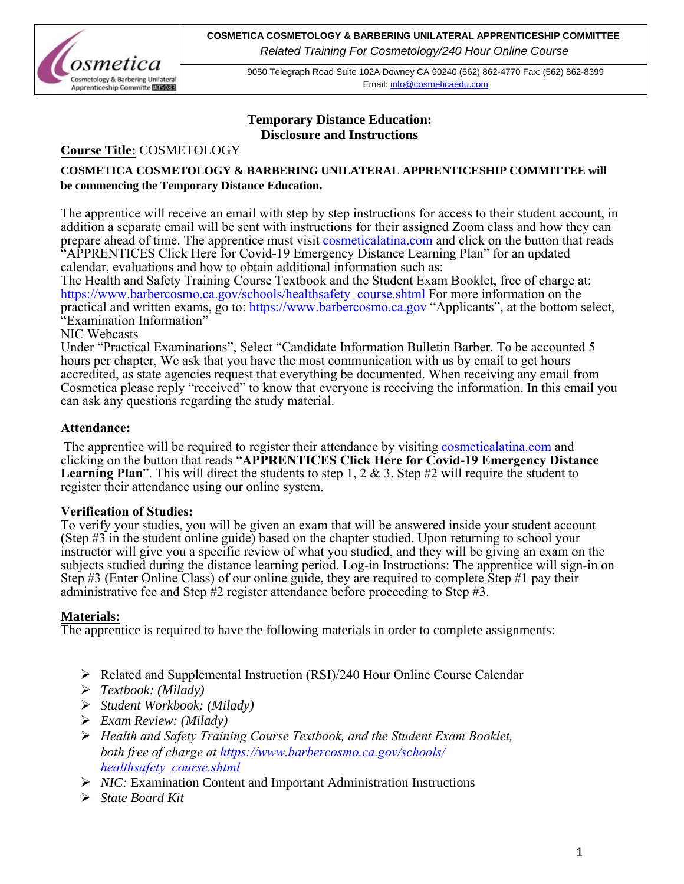

9050 Telegraph Road Suite 102A Downey CA 90240 (562) 862-4770 Fax: (562) 862-8399 Email[: info@cosmeticaedu.com](http://info@cosmeticaedu.com)

## **Temporary Distance Education: Disclosure and Instructions**

## **Course Title:** COSMETOLOGY

## **COSMETICA COSMETOLOGY & BARBERING UNILATERAL APPRENTICESHIP COMMITTEE will be commencing the Temporary Distance Education.**

The apprentice will receive an email with step by step instructions for access to their student account, in addition a separate email will be sent with instructions for their assigned Zoom class and how they can prepare ahead of time. The apprentice must visit cosmeticalatina.com and click on the button that reads "APPRENTICES Click Here for Covid-19 Emergency Distance Learning Plan" for an updated [calendar, evaluations and how to obtain additional i](https://www.barbercosmo.ca.gov/schools/heathsafety_course)nformation such as:

The Health and Safety Training Course Textbook an[d the Student Exam Booklet, f](https://www.barbercosmo.ca.gov/)ree of charge at: https://www.barbercosmo.ca.gov/schools/healthsafety\_course.shtml For more information on the practical and written exams, go to: https://www.barbercosmo.ca.gov "Applicants", at the bottom select, "Examination Information"

## NIC Webcasts

Under "Practical Examinations", Select "Candidate Information Bulletin Barber. To be accounted 5 hours per chapter, We ask that you have the most communication with us by email to get hours accredited, as state agencies request that everything be documented. When receiving any email from Cosmetica please reply "received" to know that everyone is receiving the information. In this email you can ask any questions regarding the study material.

## **Attendance:**

 The apprentice will be required to register their attendance by visiting cosmeticalatina.com and clicking on the button that reads "**APPRENTICES Click Here for Covid-19 Emergency Distance Learning Plan**". This will direct the students to step 1, 2 & 3. Step #2 will require the student to register their attendance using our online system.

## **Verification of Studies:**

To verify your studies, you will be given an exam that will be answered inside your student account (Step #3 in the student online guide) based on the chapter studied. Upon returning to school your instructor will give you a specific review of what you studied, and they will be giving an exam on the subjects studied during the distance learning period. Log-in Instructions: The apprentice will sign-in on Step #3 (Enter Online Class) of our online guide, they are required to complete Step #1 pay their administrative fee and Step #2 register attendance before proceeding to Step #3.

## **Materials:**

The apprentice is required to have the following materials in order to complete assignments:

- Related and Supplemental Instruction (RSI)/240 Hour Online Course Calendar
- *Textbook: (Milady)*
- *Student Workbook: (Milady)*
- *Exam Review: (Milady)*
- *Health and Safety Training Course Textbook, and the Student Exam Booklet, both free of charge at https://www.barbercosmo.ca.gov/schools/ healthsafety\_course.shtml*
- ▶ <i>NIC</i>: Examination Content and Important Administration Instruments
- *State Board Kit*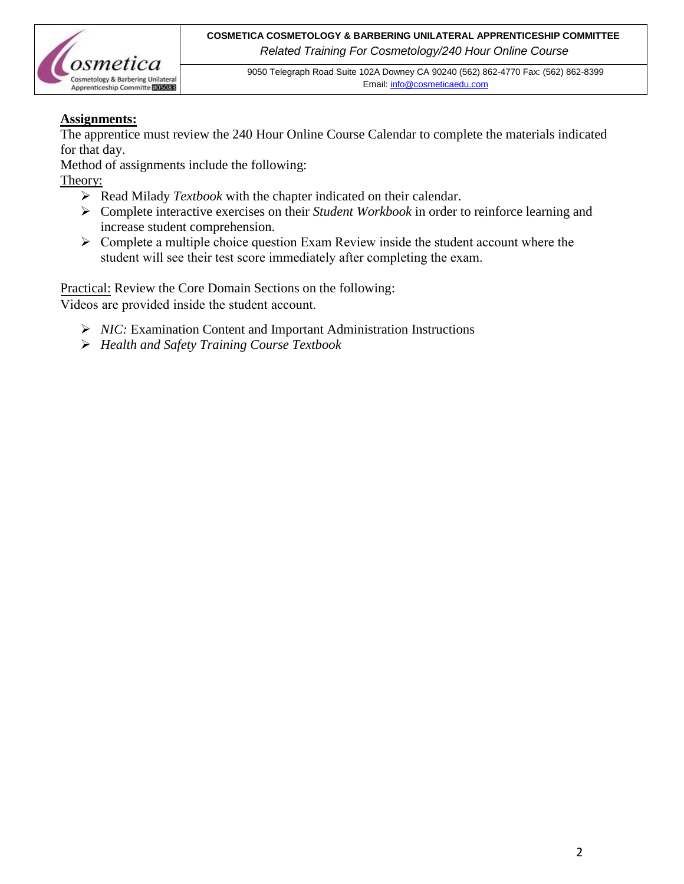

9050 Telegraph Road Suite 102A Downey CA 90240 (562) 862-4770 Fax: (562) 862-8399 Email[: info@cosmeticaedu.com](http://info@cosmeticaedu.com)

## **Assignments:**

The apprentice must review the 240 Hour Online Course Calendar to complete the materials indicated for that day.

Method of assignments include the following:

## Theory:

- Read Milady *Textbook* with the chapter indicated on their calendar.
- Complete interactive exercises on their *Student Workbook* in order to reinforce learning and increase student comprehension.
- $\triangleright$  Complete a multiple choice question Exam Review inside the student account where the [student will see their test](mailto:info@cosmeticaedu.com) score immediately after completing the exam.

Practical: Review the Core Domain Sections on the following:

Videos are provided inside the student account.

- *NIC:* Examination Content and Important Administration Instructions
- *Health and Safety Training Course Textbook*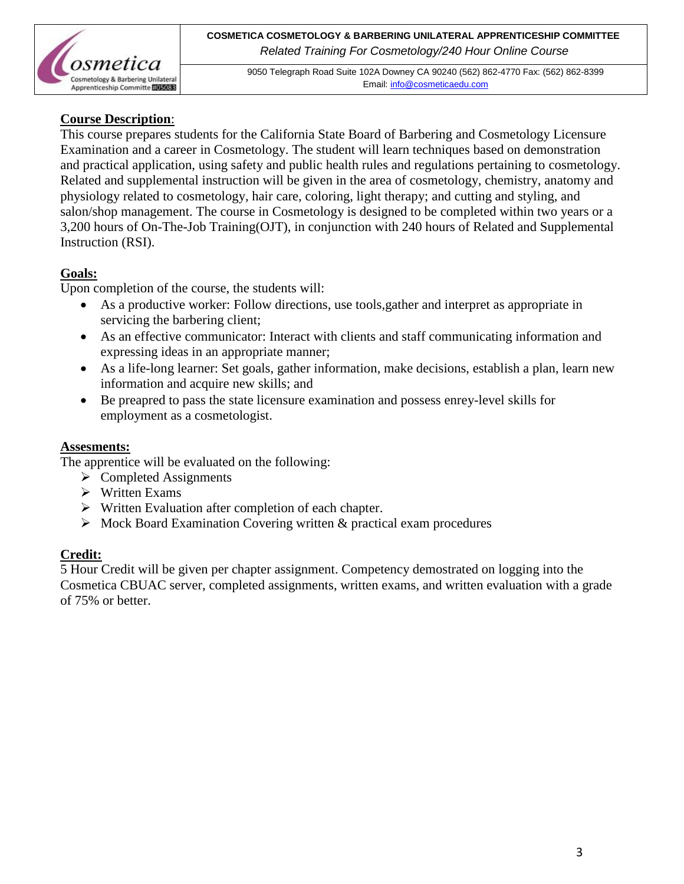

9050 Telegraph Road Suite 102A Downey CA 90240 (562) 862-4770 Fax: (562) 862-8399 Email[: info@cosmeticaedu.com](http://info@cosmeticaedu.com)

## **Course Description**:

This course prepares students for the California State Board of Barbering and Cosmetology Licensure Examination and a career in Cosmetology. The student will learn techniques based on demonstration and practical application, using safety and public health rules and regulations pertaining to cosmetology. Related and supplemental instruction will be given in the area of cosmetology, chemistry, anatomy and physiology related to cosmetology, hair care, coloring, light therapy; and cutting and styling, and salon/shop management. The course in Cosmetology is designed to be completed within two years or a 3,200 hours of On-The-Job Training(OJT), in conjunction with 240 hours of Related and Supplemental Instruction (RSI).

## **Goals:**

Upon completion of the course, the students will:

- As a productive worker: Follow directions, use tools,gather and interpret as appropriate in servicing the barbering client;
- As an effective communicator: Interact with clients and staff communicating information and expressing ideas in an appropriate manner;
- As a life-long learner: Set goals, gather information, make decisions, establish a plan, learn new information and acquire new skills; and
- Be preapred to pass the state licensure examination and possess enrey-level skills for employment as a cosmetologist.

## **Assesments:**

The apprentice will be evaluated on the following:

- $\triangleright$  Completed Assignments
- $\triangleright$  Written Exams
- $\triangleright$  Written Evaluation after completion of each chapter.
- $\triangleright$  Mock Board Examination Covering written & practical exam procedures

## **Credit:**

5 Hour Credit will be given per chapter assignment. Competency demostrated on logging into the Cosmetica CBUAC server, completed assignments, written exams, and written evaluation with a grade of 75% or better.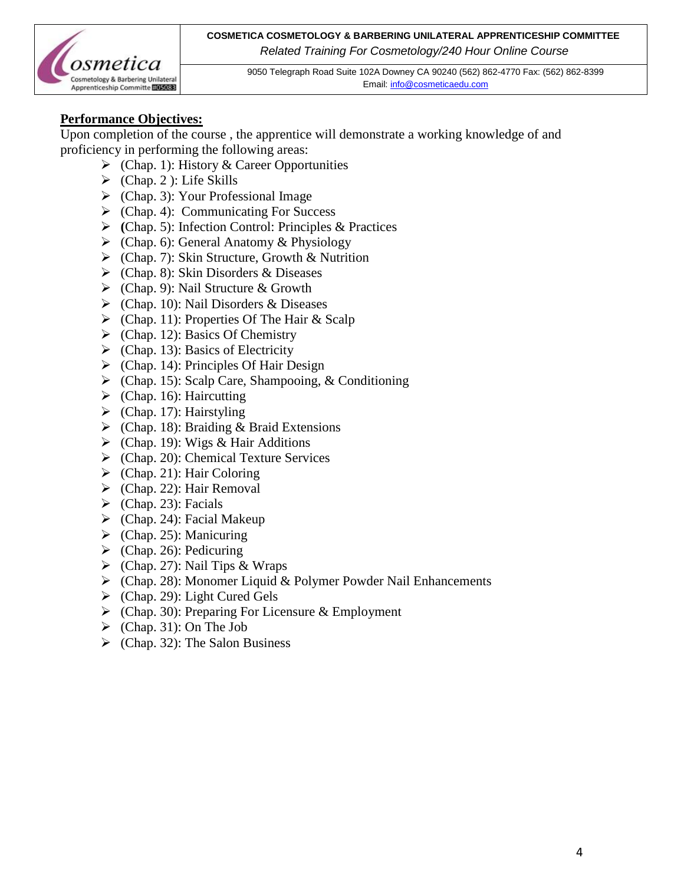

9050 Telegraph Road Suite 102A Downey CA 90240 (562) 862-4770 Fax: (562) 862-8399 Email[: info@cosmeticaedu.com](http://info@cosmeticaedu.com)

## **Performance Objectives:**

Upon completion of the course , the apprentice will demonstrate a working knowledge of and proficiency in performing the following areas:

- $\triangleright$  (Chap. 1): History & Career Opportunities
- $\triangleright$  (Chap. 2): Life Skills
- $\triangleright$  (Chap. 3): Your Professional Image
- $\triangleright$  (Chap. 4): Communicating For Success
- **(**Chap. 5): Infection Control: Principles & Practices
- $\triangleright$  (Chap. 6): General Anatomy & Physiology
- $\triangleright$  (Chap. 7): Skin Structure, Growth & Nutrition
- $\triangleright$  (Chap. 8): Skin Disorders & Diseases
- $\triangleright$  (Chap. 9): Nail Structure & Growth
- $\triangleright$  (Chap. 10): Nail Disorders & Diseases
- $\triangleright$  (Chap. 11): Properties Of The Hair & Scalp
- $\triangleright$  (Chap. 12): Basics Of Chemistry
- $\triangleright$  (Chap. 13): Basics of Electricity
- $\triangleright$  (Chap. 14): Principles Of Hair Design
- $\triangleright$  (Chap. 15): Scalp Care, Shampooing, & Conditioning
- $\blacktriangleright$  (Chap. 16): Haircutting
- $\triangleright$  (Chap. 17): Hairstyling
- $\triangleright$  (Chap. 18): Braiding & Braid Extensions
- $\triangleright$  (Chap. 19): Wigs & Hair Additions
- $\triangleright$  (Chap. 20): Chemical Texture Services
- $\triangleright$  (Chap. 21): Hair Coloring
- $\triangleright$  (Chap. 22): Hair Removal
- $\triangleright$  (Chap. 23): Facials
- $\triangleright$  (Chap. 24): Facial Makeup
- $\triangleright$  (Chap. 25): Manicuring
- $\blacktriangleright$  (Chap. 26): Pedicuring
- $\triangleright$  (Chap. 27): Nail Tips & Wraps
- $\triangleright$  (Chap. 28): Monomer Liquid & Polymer Powder Nail Enhancements
- $\triangleright$  (Chap. 29): Light Cured Gels
- $\triangleright$  (Chap. 30): Preparing For Licensure & Employment
- $\triangleright$  (Chap. 31): On The Job
- $\triangleright$  (Chap. 32): The Salon Business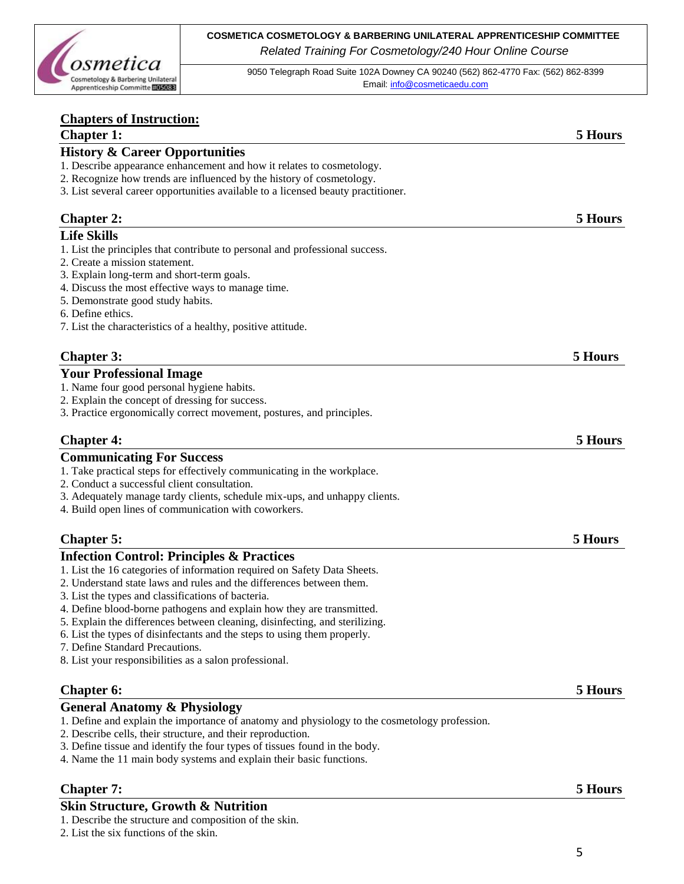

9050 Telegraph Road Suite 102A Downey CA 90240 (562) 862-4770 Fax: (562) 862-8399 Email[: info@cosmeticaedu.com](http://info@cosmeticaedu.com)

| <b>Chapters of Instruction:</b>                                                                                                                  |         |
|--------------------------------------------------------------------------------------------------------------------------------------------------|---------|
| <b>Chapter 1:</b>                                                                                                                                | 5 Hours |
| <b>History &amp; Career Opportunities</b>                                                                                                        |         |
| 1. Describe appearance enhancement and how it relates to cosmetology.                                                                            |         |
| 2. Recognize how trends are influenced by the history of cosmetology.                                                                            |         |
| 3. List several career opportunities available to a licensed beauty practitioner.                                                                |         |
| <b>Chapter 2:</b>                                                                                                                                | 5 Hours |
| <b>Life Skills</b>                                                                                                                               |         |
| 1. List the principles that contribute to personal and professional success.                                                                     |         |
| 2. Create a mission statement.                                                                                                                   |         |
| 3. Explain long-term and short-term goals.                                                                                                       |         |
| 4. Discuss the most effective ways to manage time.                                                                                               |         |
| 5. Demonstrate good study habits.                                                                                                                |         |
| 6. Define ethics.                                                                                                                                |         |
| 7. List the characteristics of a healthy, positive attitude.                                                                                     |         |
| <b>Chapter 3:</b>                                                                                                                                | 5 Hours |
|                                                                                                                                                  |         |
| <b>Your Professional Image</b>                                                                                                                   |         |
| 1. Name four good personal hygiene habits.                                                                                                       |         |
| 2. Explain the concept of dressing for success.<br>3. Practice ergonomically correct movement, postures, and principles.                         |         |
|                                                                                                                                                  |         |
| <b>Chapter 4:</b>                                                                                                                                | 5 Hours |
| <b>Communicating For Success</b>                                                                                                                 |         |
| 1. Take practical steps for effectively communicating in the workplace.                                                                          |         |
| 2. Conduct a successful client consultation.                                                                                                     |         |
| 3. Adequately manage tardy clients, schedule mix-ups, and unhappy clients.                                                                       |         |
| 4. Build open lines of communication with coworkers.                                                                                             |         |
| <b>Chapter 5:</b>                                                                                                                                | 5 Hours |
|                                                                                                                                                  |         |
| <b>Infection Control: Principles &amp; Practices</b>                                                                                             |         |
| 1. List the 16 categories of information required on Safety Data Sheets.<br>2. Understand state laws and rules and the differences between them. |         |
| 3. List the types and classifications of bacteria.                                                                                               |         |
| 4. Define blood-borne pathogens and explain how they are transmitted.                                                                            |         |
| 5. Explain the differences between cleaning, disinfecting, and sterilizing.                                                                      |         |
| 6. List the types of disinfectants and the steps to using them properly.                                                                         |         |
| 7. Define Standard Precautions.                                                                                                                  |         |
| 8. List your responsibilities as a salon professional.                                                                                           |         |
|                                                                                                                                                  |         |
| Chapter 6:                                                                                                                                       | 5 Hours |
| <b>General Anatomy &amp; Physiology</b>                                                                                                          |         |
| 1. Define and explain the importance of anatomy and physiology to the cosmetology profession.                                                    |         |
| 2. Describe cells, their structure, and their reproduction.                                                                                      |         |
| 3. Define tissue and identify the four types of tissues found in the body.                                                                       |         |
| 4. Name the 11 main body systems and explain their basic functions.                                                                              |         |
| <b>Chapter 7:</b>                                                                                                                                | 5 Hours |
| <b>Skin Structure, Growth &amp; Nutrition</b>                                                                                                    |         |
| 1. Describe the structure and composition of the skin.                                                                                           |         |
| 2. List the six functions of the skin.                                                                                                           |         |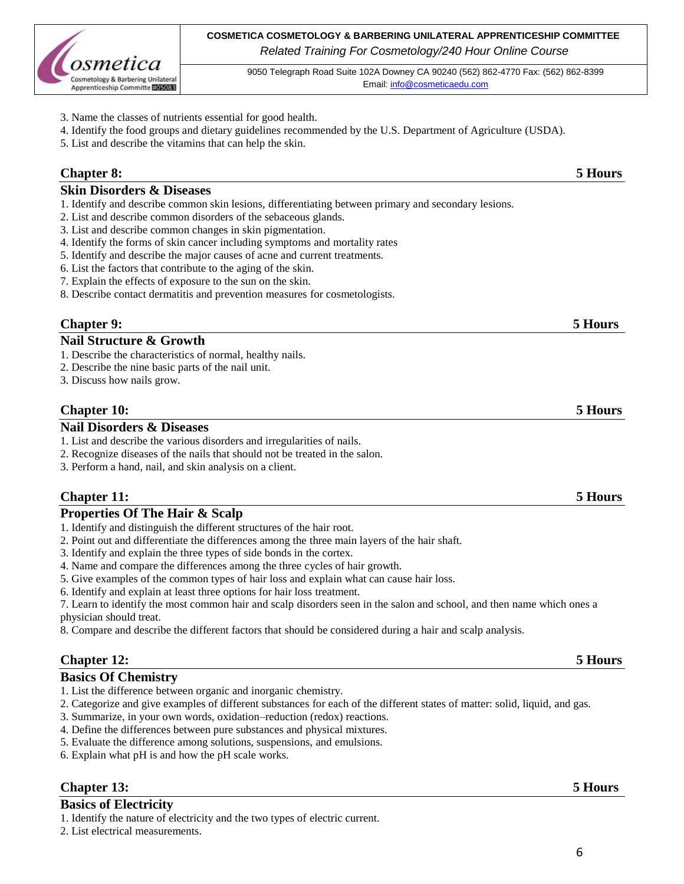

9050 Telegraph Road Suite 102A Downey CA 90240 (562) 862-4770 Fax: (562) 862-8399 Email[: info@cosmeticaedu.com](http://info@cosmeticaedu.com)

- 3. Name the classes of nutrients essential for good health.
- 4. Identify the food groups and dietary guidelines recommended by the U.S. Department of Agriculture (USDA).
- 5. List and describe the vitamins that can help the skin.

## **Chapter 8: 5 Hours**

#### **Skin Disorders & Diseases**

- 1. Identify and describe common skin lesions, differentiating between primary and secondary lesions.
- 2. List and describe common disorders of the sebaceous glands.
- 3. List and describe common changes in skin pigmentation.
- 4. Identify the forms of skin cancer including symptoms and mortality rates
- 5. Identify and describe the major causes of acne and current treatments.
- 6. List the factors that contribute to the aging of the skin.
- 7. Explain the effects of exposure to the sun on the skin.
- 8. Describe contact dermatitis and prevention measures for cosmetologists.

## **Chapter 9: 5 Hours**

#### **Nail Structure & Growth**

- 1. Describe the characteristics of normal, healthy nails.
- 2. Describe the nine basic parts of the nail unit.
- 3. Discuss how nails grow.

### **Chapter 10: 5 Hours**

#### **Nail Disorders & Diseases**

- 1. List and describe the various disorders and irregularities of nails.
- 2. Recognize diseases of the nails that should not be treated in the salon.
- 3. Perform a hand, nail, and skin analysis on a client.

### **Chapter 11: 5 Hours**

#### **Properties Of The Hair & Scalp**

- 1. Identify and distinguish the different structures of the hair root.
- 2. Point out and differentiate the differences among the three main layers of the hair shaft.
- 3. Identify and explain the three types of side bonds in the cortex.
- 4. Name and compare the differences among the three cycles of hair growth.
- 5. Give examples of the common types of hair loss and explain what can cause hair loss.
- 6. Identify and explain at least three options for hair loss treatment.

7. Learn to identify the most common hair and scalp disorders seen in the salon and school, and then name which ones a physician should treat.

8. Compare and describe the different factors that should be considered during a hair and scalp analysis.

## **Chapter 12: 5 Hours**

#### **Basics Of Chemistry**

- 1. List the difference between organic and inorganic chemistry.
- 2. Categorize and give examples of different substances for each of the different states of matter: solid, liquid, and gas.
- 3. Summarize, in your own words, oxidation–reduction (redox) reactions.
- 4. Define the differences between pure substances and physical mixtures.
- 5. Evaluate the difference among solutions, suspensions, and emulsions.
- 6. Explain what pH is and how the pH scale works.

### **Chapter 13: 5 Hours**

## **Basics of Electricity**

1. Identify the nature of electricity and the two types of electric current.

2. List electrical measurements.

#### 6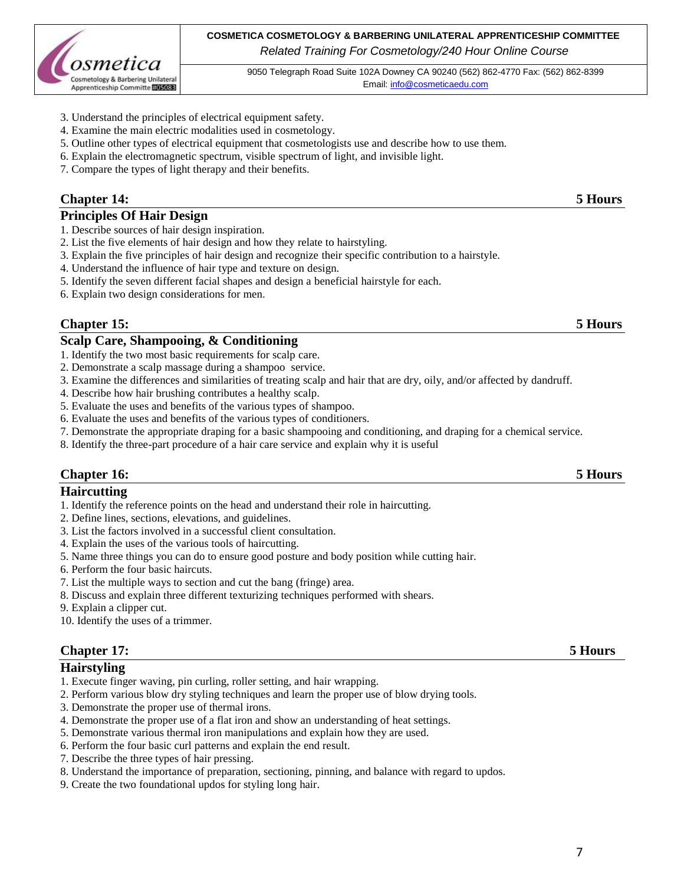

9050 Telegraph Road Suite 102A Downey CA 90240 (562) 862-4770 Fax: (562) 862-8399 Email[: info@cosmeticaedu.com](http://info@cosmeticaedu.com)

- 3. Understand the principles of electrical equipment safety.
- 4. Examine the main electric modalities used in cosmetology.
- 5. Outline other types of electrical equipment that cosmetologists use and describe how to use them.
- 6. Explain the electromagnetic spectrum, visible spectrum of light, and invisible light.
- 7. Compare the types of light therapy and their benefits.

### **Chapter 14: 5 Hours**

#### **Principles Of Hair Design**

- 1. Describe sources of hair design inspiration.
- 2. List the five elements of hair design and how they relate to hairstyling.
- 3. Explain the five principles of hair design and recognize their specific contribution to a hairstyle.
- 4. Understand the influence of hair type and texture on design.
- 5. Identify the seven different facial shapes and design a beneficial hairstyle for each.
- 6. Explain two design considerations for men.

### **Chapter 15: 5 Hours**

#### **Scalp Care, Shampooing, & Conditioning**

- 1. Identify the two most basic requirements for scalp care.
- 2. Demonstrate a scalp massage during a shampoo service.
- 3. Examine the differences and similarities of treating scalp and hair that are dry, oily, and/or affected by dandruff.
- 4. Describe how hair brushing contributes a healthy scalp.
- 5. Evaluate the uses and benefits of the various types of shampoo.
- 6. Evaluate the uses and benefits of the various types of conditioners.
- 7. Demonstrate the appropriate draping for a basic shampooing and conditioning, and draping for a chemical service.
- 8. Identify the three-part procedure of a hair care service and explain why it is useful

### **Chapter 16: 5 Hours**

### **Haircutting**

- 1. Identify the reference points on the head and understand their role in haircutting.
- 2. Define lines, sections, elevations, and guidelines.
- 3. List the factors involved in a successful client consultation.
- 4. Explain the uses of the various tools of haircutting.
- 5. Name three things you can do to ensure good posture and body position while cutting hair.
- 6. Perform the four basic haircuts.
- 7. List the multiple ways to section and cut the bang (fringe) area.
- 8. Discuss and explain three different texturizing techniques performed with shears.
- 9. Explain a clipper cut.
- 10. Identify the uses of a trimmer.

### **Chapter 17: 5 Hours**

#### **Hairstyling**

- 1. Execute finger waving, pin curling, roller setting, and hair wrapping.
- 2. Perform various blow dry styling techniques and learn the proper use of blow drying tools.
- 3. Demonstrate the proper use of thermal irons.
- 4. Demonstrate the proper use of a flat iron and show an understanding of heat settings.
- 5. Demonstrate various thermal iron manipulations and explain how they are used.
- 6. Perform the four basic curl patterns and explain the end result.
- 7. Describe the three types of hair pressing.
- 8. Understand the importance of preparation, sectioning, pinning, and balance with regard to updos.
- 9. Create the two foundational updos for styling long hair.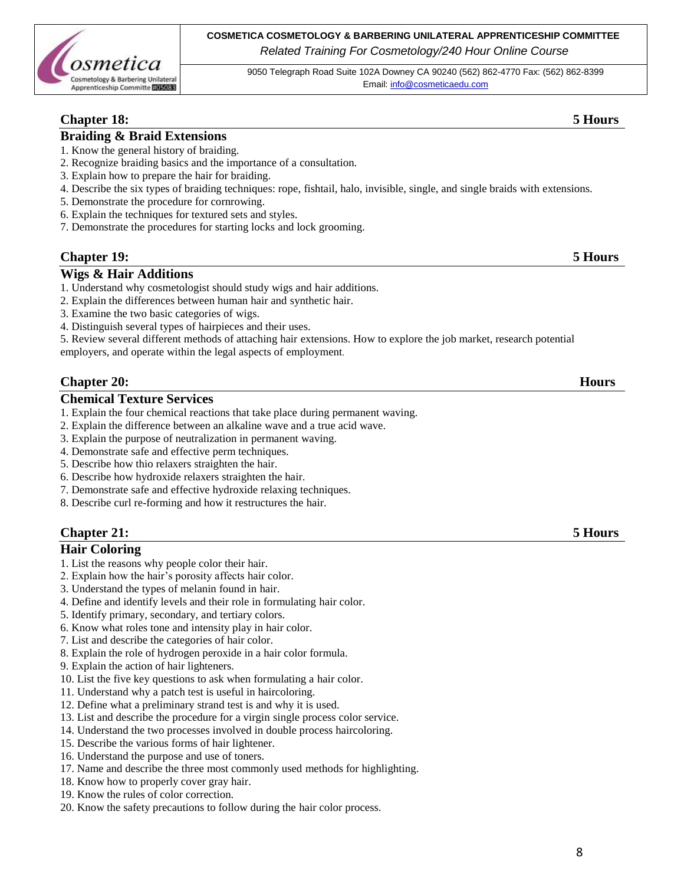

9050 Telegraph Road Suite 102A Downey CA 90240 (562) 862-4770 Fax: (562) 862-8399 Email[: info@cosmeticaedu.com](http://info@cosmeticaedu.com)

## **Chapter 18: 5 Hours**

### **Braiding & Braid Extensions**

- 1. Know the general history of braiding.
- 2. Recognize braiding basics and the importance of a consultation.
- 3. Explain how to prepare the hair for braiding.
- 4. Describe the six types of braiding techniques: rope, fishtail, halo, invisible, single, and single braids with extensions.
- 5. Demonstrate the procedure for cornrowing.
- 6. Explain the techniques for textured sets and styles.
- 7. Demonstrate the procedures for starting locks and lock grooming.

#### **Chapter 19: 5 Hours**

#### **Wigs & Hair Additions**

- 1. Understand why cosmetologist should study wigs and hair additions.
- 2. Explain the differences between human hair and synthetic hair.
- 3. Examine the two basic categories of wigs.
- 4. Distinguish several types of hairpieces and their uses.
- 5. Review several different methods of attaching hair extensions. How to explore the job market, research potential

employers, and operate within the legal aspects of employment.

#### **Chapter 20: Hours**

#### **Chemical Texture Services**

- 1. Explain the four chemical reactions that take place during permanent waving.
- 2. Explain the difference between an alkaline wave and a true acid wave.
- 3. Explain the purpose of neutralization in permanent waving.
- 4. Demonstrate safe and effective perm techniques.
- 5. Describe how thio relaxers straighten the hair.
- 6. Describe how hydroxide relaxers straighten the hair.
- 7. Demonstrate safe and effective hydroxide relaxing techniques.
- 8. Describe curl re-forming and how it restructures the hair.

## **Chapter 21: 5 Hours**

#### **Hair Coloring**

- 1. List the reasons why people color their hair.
- 2. Explain how the hair's porosity affects hair color.
- 3. Understand the types of melanin found in hair.
- 4. Define and identify levels and their role in formulating hair color.
- 5. Identify primary, secondary, and tertiary colors.
- 6. Know what roles tone and intensity play in hair color.
- 7. List and describe the categories of hair color.
- 8. Explain the role of hydrogen peroxide in a hair color formula.
- 9. Explain the action of hair lighteners.
- 10. List the five key questions to ask when formulating a hair color.
- 11. Understand why a patch test is useful in haircoloring.
- 12. Define what a preliminary strand test is and why it is used.
- 13. List and describe the procedure for a virgin single process color service.
- 14. Understand the two processes involved in double process haircoloring.
- 15. Describe the various forms of hair lightener.
- 16. Understand the purpose and use of toners.
- 17. Name and describe the three most commonly used methods for highlighting.
- 18. Know how to properly cover gray hair.
- 19. Know the rules of color correction.
- 20. Know the safety precautions to follow during the hair color process.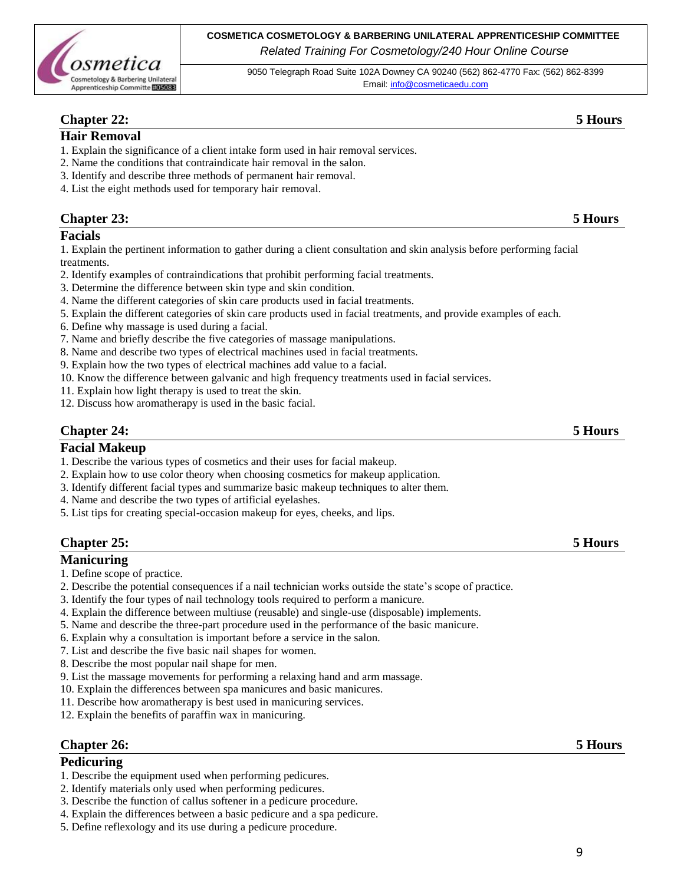

9050 Telegraph Road Suite 102A Downey CA 90240 (562) 862-4770 Fax: (562) 862-8399 Email[: info@cosmeticaedu.com](http://info@cosmeticaedu.com)

## **Chapter 22: 5 Hours**

#### **Hair Removal**

- 1. Explain the significance of a client intake form used in hair removal services.
- 2. Name the conditions that contraindicate hair removal in the salon.
- 3. Identify and describe three methods of permanent hair removal.
- 4. List the eight methods used for temporary hair removal.

### **Chapter 23: 5 Hours**

#### **Facials**

1. Explain the pertinent information to gather during a client consultation and skin analysis before performing facial treatments.

- 2. Identify examples of contraindications that prohibit performing facial treatments.
- 3. Determine the difference between skin type and skin condition.
- 4. Name the different categories of skin care products used in facial treatments.
- 5. Explain the different categories of skin care products used in facial treatments, and provide examples of each.
- 6. Define why massage is used during a facial.
- 7. Name and briefly describe the five categories of massage manipulations.
- 8. Name and describe two types of electrical machines used in facial treatments.
- 9. Explain how the two types of electrical machines add value to a facial.
- 10. Know the difference between galvanic and high frequency treatments used in facial services.
- 11. Explain how light therapy is used to treat the skin.
- 12. Discuss how aromatherapy is used in the basic facial.

## **Chapter 24: 5 Hours**

#### **Facial Makeup**

- 1. Describe the various types of cosmetics and their uses for facial makeup.
- 2. Explain how to use color theory when choosing cosmetics for makeup application.
- 3. Identify different facial types and summarize basic makeup techniques to alter them.
- 4. Name and describe the two types of artificial eyelashes.
- 5. List tips for creating special-occasion makeup for eyes, cheeks, and lips.

### **Chapter 25: 5 Hours**

#### **Manicuring**

- 1. Define scope of practice.
- 2. Describe the potential consequences if a nail technician works outside the state's scope of practice.
- 3. Identify the four types of nail technology tools required to perform a manicure.
- 4. Explain the difference between multiuse (reusable) and single-use (disposable) implements.
- 5. Name and describe the three-part procedure used in the performance of the basic manicure.
- 6. Explain why a consultation is important before a service in the salon.
- 7. List and describe the five basic nail shapes for women.
- 8. Describe the most popular nail shape for men.
- 9. List the massage movements for performing a relaxing hand and arm massage.
- 10. Explain the differences between spa manicures and basic manicures.
- 11. Describe how aromatherapy is best used in manicuring services.
- 12. Explain the benefits of paraffin wax in manicuring.

#### **Chapter 26: 5 Hours**

#### **Pedicuring**

- 1. Describe the equipment used when performing pedicures.
- 2. Identify materials only used when performing pedicures.
- 3. Describe the function of callus softener in a pedicure procedure.
- 4. Explain the differences between a basic pedicure and a spa pedicure.
- 5. Define reflexology and its use during a pedicure procedure.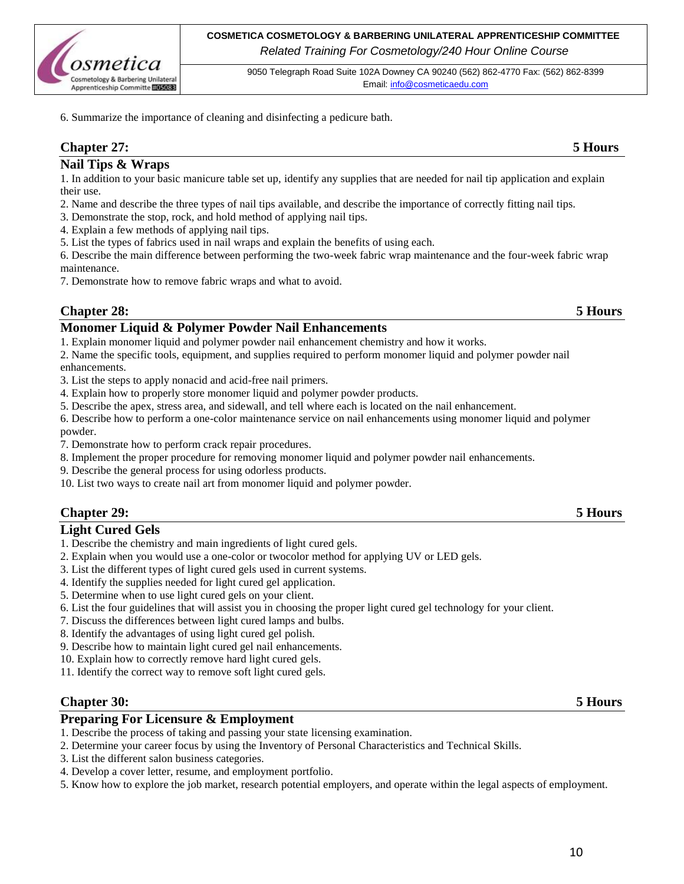

9050 Telegraph Road Suite 102A Downey CA 90240 (562) 862-4770 Fax: (562) 862-8399 Email[: info@cosmeticaedu.com](http://info@cosmeticaedu.com)

6. Summarize the importance of cleaning and disinfecting a pedicure bath.

## **Chapter 27: 5 Hours**

#### **Nail Tips & Wraps**

1. In addition to your basic manicure table set up, identify any supplies that are needed for nail tip application and explain their use.

- 2. Name and describe the three types of nail tips available, and describe the importance of correctly fitting nail tips.
- 3. Demonstrate the stop, rock, and hold method of applying nail tips.
- 4. Explain a few methods of applying nail tips.
- 5. List the types of fabrics used in nail wraps and explain the benefits of using each.

6. Describe the main difference between performing the two-week fabric wrap maintenance and the four-week fabric wrap maintenance.

7. Demonstrate how to remove fabric wraps and what to avoid.

## **Chapter 28: 5 Hours**

#### **Monomer Liquid & Polymer Powder Nail Enhancements**

1. Explain monomer liquid and polymer powder nail enhancement chemistry and how it works.

2. Name the specific tools, equipment, and supplies required to perform monomer liquid and polymer powder nail enhancements.

- 3. List the steps to apply nonacid and acid-free nail primers.
- 4. Explain how to properly store monomer liquid and polymer powder products.
- 5. Describe the apex, stress area, and sidewall, and tell where each is located on the nail enhancement.

6. Describe how to perform a one-color maintenance service on nail enhancements using monomer liquid and polymer powder.

- 7. Demonstrate how to perform crack repair procedures.
- 8. Implement the proper procedure for removing monomer liquid and polymer powder nail enhancements.
- 9. Describe the general process for using odorless products.
- 10. List two ways to create nail art from monomer liquid and polymer powder.

### **Chapter 29: 5 Hours**

#### **Light Cured Gels**

- 1. Describe the chemistry and main ingredients of light cured gels.
- 2. Explain when you would use a one-color or twocolor method for applying UV or LED gels.
- 3. List the different types of light cured gels used in current systems.
- 4. Identify the supplies needed for light cured gel application.
- 5. Determine when to use light cured gels on your client.
- 6. List the four guidelines that will assist you in choosing the proper light cured gel technology for your client.
- 7. Discuss the differences between light cured lamps and bulbs.
- 8. Identify the advantages of using light cured gel polish.
- 9. Describe how to maintain light cured gel nail enhancements.
- 10. Explain how to correctly remove hard light cured gels.
- 11. Identify the correct way to remove soft light cured gels.

### **Chapter 30: 5 Hours**

#### **Preparing For Licensure & Employment**

- 1. Describe the process of taking and passing your state licensing examination.
- 2. Determine your career focus by using the Inventory of Personal Characteristics and Technical Skills.
- 3. List the different salon business categories.
- 4. Develop a cover letter, resume, and employment portfolio.
- 5. Know how to explore the job market, research potential employers, and operate within the legal aspects of employment.